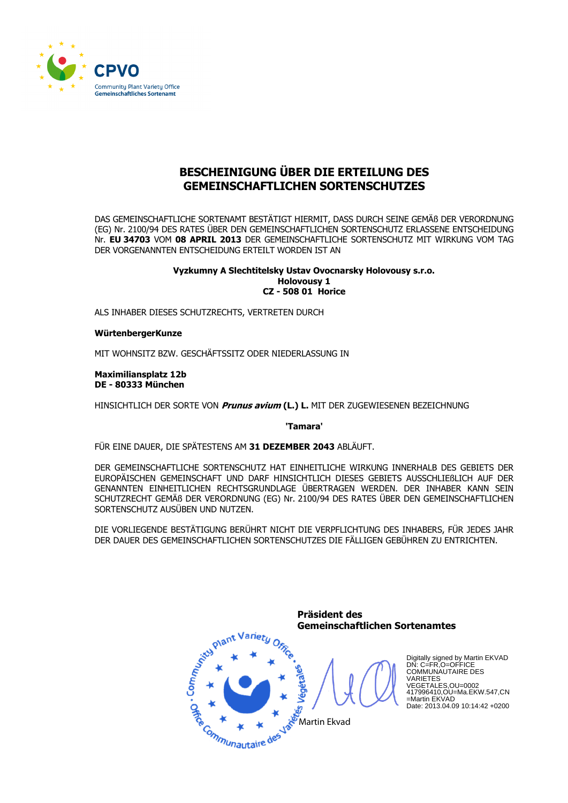

# BESCHEINIGUNG ÜBER DIE ERTEILUNG DES **GEMEINSCHAFTLICHEN SORTENSCHUTZES**

DAS GEMEINSCHAFTLICHE SORTENAMT BESTÄTIGT HIERMIT, DASS DURCH SEINE GEMÄß DER VERORDNUNG (EG) Nr. 2100/94 DES RATES ÜBER DEN GEMEINSCHAFTLICHEN SORTENSCHUTZ ERLASSENE ENTSCHEIDUNG Nr. EU 34703 VOM 08 APRIL 2013 DER GEMEINSCHAFTLICHE SORTENSCHUTZ MIT WIRKUNG VOM TAG DER VORGENANNTEN ENTSCHEIDUNG ERTEILT WORDEN IST AN

## Vyzkumny A Slechtitelsky Ustay Ovocnarsky Holovousy s.r.o. **Holovousv 1 CZ - 508 01 Horice**

ALS INHABER DIESES SCHUTZRECHTS, VERTRETEN DURCH

WürtenbergerKunze

MIT WOHNSITZ BZW. GESCHÄFTSSITZ ODER NIEDERLASSUNG IN

**Maximiliansplatz 12b** DE - 80333 München

HINSICHTLICH DER SORTE VON Prunus avium (L.) L. MIT DER ZUGEWIESENEN BEZEICHNUNG

'Tamara'

FÜR EINE DAUER, DIE SPÄTESTENS AM 31 DEZEMBER 2043 ABLÄUFT.

DER GEMEINSCHAFTLICHE SORTENSCHUTZ HAT EINHEITLICHE WIRKUNG INNERHALB DES GEBIETS DER EUROPÄISCHEN GEMEINSCHAFT UND DARF HINSICHTLICH DIESES GEBIETS AUSSCHLIEßLICH AUF DER GENANNTEN EINHEITLICHEN RECHTSGRUNDLAGE ÜBERTRAGEN WERDEN. DER INHABER KANN SEIN SCHUTZRECHT GEMÄß DER VERORDNUNG (EG) Nr. 2100/94 DES RATES ÜBER DEN GEMEINSCHAFTLICHEN SORTENSCHUTZ AUSÜBEN UND NUTZEN.

DIE VORLIEGENDE BESTÄTIGUNG BERÜHRT NICHT DIE VERPFLICHTUNG DES INHABERS, FÜR JEDES JAHR DER DAUER DES GEMEINSCHAFTLICHEN SORTENSCHUTZES DIE FÄLLIGEN GEBÜHREN ZU ENTRICHTEN.